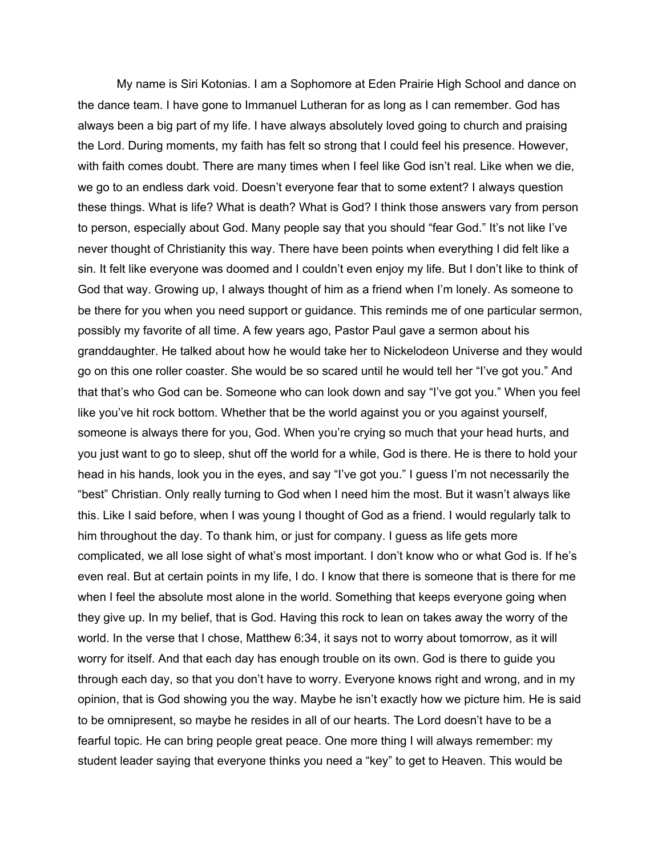My name is Siri Kotonias. I am a Sophomore at Eden Prairie High School and dance on the dance team. I have gone to Immanuel Lutheran for as long as I can remember. God has always been a big part of my life. I have always absolutely loved going to church and praising the Lord. During moments, my faith has felt so strong that I could feel his presence. However, with faith comes doubt. There are many times when I feel like God isn't real. Like when we die, we go to an endless dark void. Doesn't everyone fear that to some extent? I always question these things. What is life? What is death? What is God? I think those answers vary from person to person, especially about God. Many people say that you should "fear God." It's not like I've never thought of Christianity this way. There have been points when everything I did felt like a sin. It felt like everyone was doomed and I couldn't even enjoy my life. But I don't like to think of God that way. Growing up, I always thought of him as a friend when I'm lonely. As someone to be there for you when you need support or guidance. This reminds me of one particular sermon, possibly my favorite of all time. A few years ago, Pastor Paul gave a sermon about his granddaughter. He talked about how he would take her to Nickelodeon Universe and they would go on this one roller coaster. She would be so scared until he would tell her "I've got you." And that that's who God can be. Someone who can look down and say "I've got you." When you feel like you've hit rock bottom. Whether that be the world against you or you against yourself, someone is always there for you, God. When you're crying so much that your head hurts, and you just want to go to sleep, shut off the world for a while, God is there. He is there to hold your head in his hands, look you in the eyes, and say "I've got you." I guess I'm not necessarily the "best" Christian. Only really turning to God when I need him the most. But it wasn't always like this. Like I said before, when I was young I thought of God as a friend. I would regularly talk to him throughout the day. To thank him, or just for company. I guess as life gets more complicated, we all lose sight of what's most important. I don't know who or what God is. If he's even real. But at certain points in my life, I do. I know that there is someone that is there for me when I feel the absolute most alone in the world. Something that keeps everyone going when they give up. In my belief, that is God. Having this rock to lean on takes away the worry of the world. In the verse that I chose, Matthew 6:34, it says not to worry about tomorrow, as it will worry for itself. And that each day has enough trouble on its own. God is there to guide you through each day, so that you don't have to worry. Everyone knows right and wrong, and in my opinion, that is God showing you the way. Maybe he isn't exactly how we picture him. He is said to be omnipresent, so maybe he resides in all of our hearts. The Lord doesn't have to be a fearful topic. He can bring people great peace. One more thing I will always remember: my student leader saying that everyone thinks you need a "key" to get to Heaven. This would be